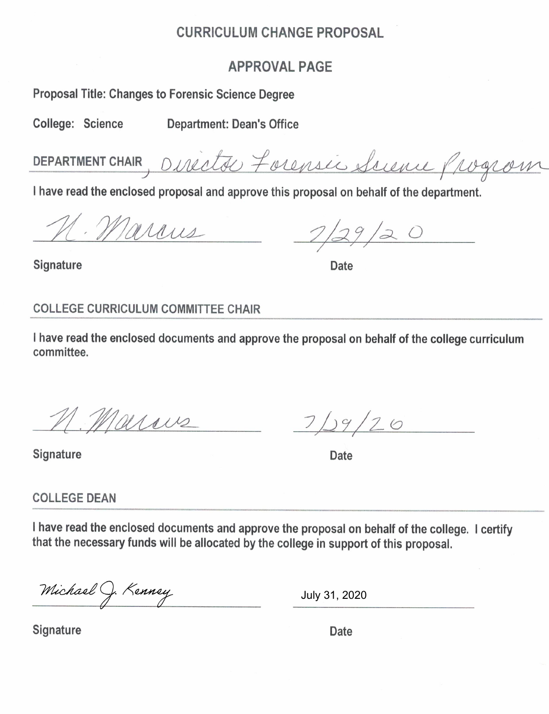## **CURRICULUM CHANGE PROPOSAL**

## **APPROVAL PAGE**

**Proposal Title: Changes to Forensic Science Degree** 

College: Science

**Department: Dean's Office** 

DEPARTMENT CHAIR, Director Forensic Suevue Progrom

I have read the enclosed proposal and approve this proposal on behalf of the department.

Marries

 $1/29/20$ 

**Date** 

# **COLLEGE CURRICULUM COMMITTEE CHAIR**

I have read the enclosed documents and approve the proposal on behalf of the college curriculum committee.

M. Marius

**Signature** 

**Signature** 

 $7/29/20$ 

**Date** 

**COLLEGE DEAN** 

I have read the enclosed documents and approve the proposal on behalf of the college. I certify that the necessary funds will be allocated by the college in support of this proposal.

Michael J. Kenney

July 31, 2020

**Signature** 

Date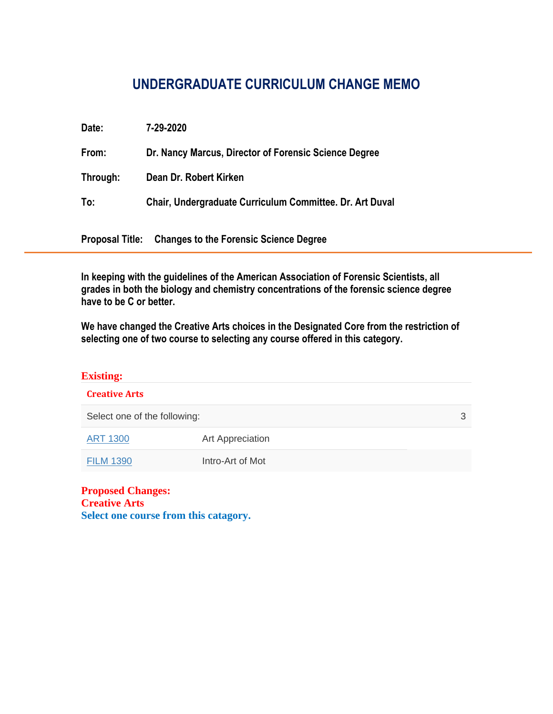# **UNDERGRADUATE CURRICULUM CHANGE MEMO**

| Date:    | 7-29-2020                                                     |
|----------|---------------------------------------------------------------|
| From:    | Dr. Nancy Marcus, Director of Forensic Science Degree         |
| Through: | Dean Dr. Robert Kirken                                        |
| To:      | Chair, Undergraduate Curriculum Committee. Dr. Art Duval      |
|          | <b>Proposal Title:</b> Changes to the Forensic Science Degree |

**In keeping with the guidelines of the American Association of Forensic Scientists, all grades in both the biology and chemistry concentrations of the forensic science degree have to be C or better.**

**We have changed the Creative Arts choices in the Designated Core from the restriction of selecting one of two course to selecting any course offered in this category.** 

| <b>Existing:</b>                                              |                  |  |  |  |  |  |  |
|---------------------------------------------------------------|------------------|--|--|--|--|--|--|
| <b>Creative Arts</b>                                          |                  |  |  |  |  |  |  |
| Select one of the following:                                  | 3                |  |  |  |  |  |  |
| <b>ART 1300</b>                                               | Art Appreciation |  |  |  |  |  |  |
| <b>FILM 1390</b>                                              | Intro-Art of Mot |  |  |  |  |  |  |
| $\mathbf{D}_{\text{measured}}$ $\mathbf{C}_{\text{heasured}}$ |                  |  |  |  |  |  |  |

**Proposed Changes: Creative Arts Select one course from this catagory.**

j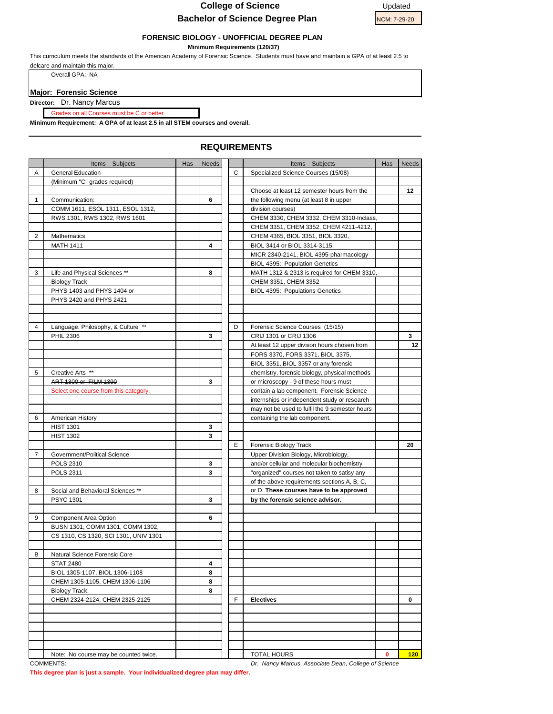#### **College of Science** Updated



#### **FORENSIC BIOLOGY - UNOFFICIAL DEGREE PLAN**

 **Minimum Requirements (120/37)**

This curriculum meets the standards of the American Academy of Forensic Science. Students must have and maintain a GPA of at least 2.5 to delcare and maintain this major.

Overall GPA: NA

#### **Major: Forensic Science**

**Director:** Dr. Nancy Marcus

on all Courses must be C or better

**Minimum Requirement: A GPA of at least 2.5 in all STEM courses and overall.**

### Items Subjects **In the Has Needs Has Needs Items** Subjects **Has Needs** A General Education C Specialized Science Courses (15/08) (Minimum "C" grades required) Choose at least 12 semester hours from the **12** 1 Communication: **6 6 the following menu** (at least 8 in upper COMM 1611, ESOL 1311, ESOL 1312, **Depided Act 1312** division courses) RWS 1301, RWS 1302, RWS 1601 **CHEM 3330, CHEM 3332, CHEM 3310-Inclass** CHEM 3351, CHEM 3352, CHEM 4211-4212, 2 Mathematics **CHEM 4365, BIOL 3351, BIOL 3320,** MATH 1411 **4** BIOL 3414 or BIOL 3314-3115, MICR 2340-2141, BIOL 4395-pharmacology BIOL 4395: Population Genetics 3 | Life and Physical Sciences \*\* | 8 | MATH 1312 & 2313 is required for CHEM 3310 Biology Track **CHEM 3352** CHEM 3351, CHEM 3352 PHYS 1403 and PHYS 1404 or **BIOL 4395:** Populations Genetics PHYS 2420 and PHYS 2421 4 Language, Philosophy, & Culture \*\* **D** D Forensic Science Courses (15/15) PHIL 2306 **3 3 2** CRIJ 1301 or CRIJ 1306 **3 3** At least 12 upper divison hours chosen from **12** FORS 3370, FORS 3371, BIOL 3375, BIOL 3351, BIOL 3357 or any forensic 5 Creative Arts \*\* chemistry, forensic biology, physical methods ART 1300 or FILM 1390 Select one course from this category. **contain a lab component.** Forensic Science internships or independent study or research may not be used to fulfil the 9 semester hours 6 American History **containing the lab component.** Containing the lab component. HIST 1301 **3** HIST 1302 **3** E | Forensic Biology Track **20** 7 Government/Political Science Tennel Number 2012 | Upper Division Biology, Microbiology, POLS 2310 **3 3 1 and/or cellular and molecular biochemistry** POLS 2311 **3** "organized" courses not taken to satisy any of the above requirements sections A, B, C, 8 Social and Behavioral Sciences \*\* **by Conserved Access** have to be approved PSYC 1301 **by the forensic science advisor.** 9 Component Area Option **6** BUSN 1301, COMM 1301, COMM 1302, CS 1310, CS 1320, SCI 1301, UNIV 1301 B Natural Science Forensic Core STAT 2480 **4** BIOL 1305-1107, BIOL 1306-1108 **8** CHEM 1305-1105, CHEM 1306-1106 **8** Biology Track: **8** CHEM 2324-2124, CHEM 2325-2125 F **Electives 0** Note: No course may be counted twice. **1 120 120 120 120**

#### **REQUIREMENTS**

**This degree plan is just a sample. Your individualized degree plan may differ.** 

COMMENTS: *Dr. Nancy Marcus, Associate Dean, College of Science*